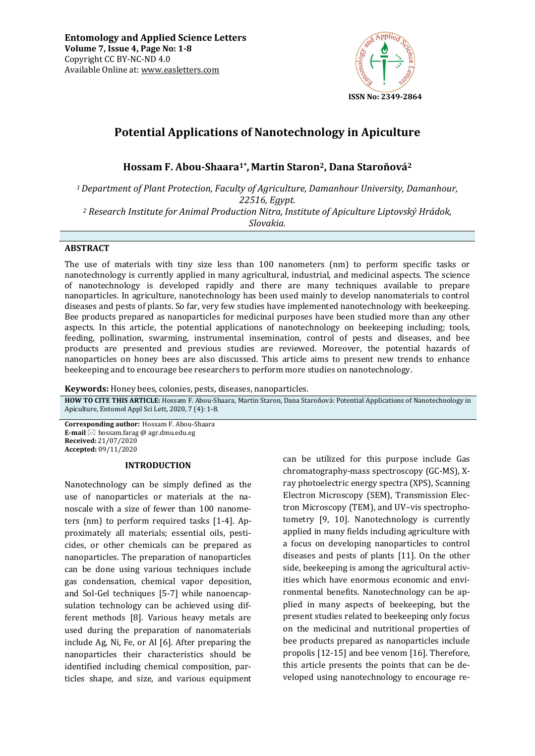

# **Potential Applications of Nanotechnology in Apiculture**

**Hossam F. Abou-Shaara1\* , Martin Staron2, Dana Staroňová<sup>2</sup>**

*<sup>1</sup>Department of Plant Protection, Faculty of Agriculture, Damanhour University, Damanhour, 22516, Egypt.* 

*<sup>2</sup> Research Institute for Animal Production Nitra, Institute of Apiculture Liptovský Hrádok,* 

*Slovakia.* 

# **ABSTRACT**

The use of materials with tiny size less than 100 nanometers (nm) to perform specific tasks or nanotechnology is currently applied in many agricultural, industrial, and medicinal aspects. The science of nanotechnology is developed rapidly and there are many techniques available to prepare nanoparticles. In agriculture, nanotechnology has been used mainly to develop nanomaterials to control diseases and pests of plants. So far, very few studies have implemented nanotechnology with beekeeping. Bee products prepared as nanoparticles for medicinal purposes have been studied more than any other aspects. In this article, the potential applications of nanotechnology on beekeeping including; tools, feeding, pollination, swarming, instrumental insemination, control of pests and diseases, and bee products are presented and previous studies are reviewed. Moreover, the potential hazards of nanoparticles on honey bees are also discussed. This article aims to present new trends to enhance beekeeping and to encourage bee researchers to perform more studies on nanotechnology.

**Keywords:** Honey bees, colonies, pests, diseases, nanoparticles*.*

**HOW TO CITE THIS ARTICLE:** Hossam F. Abou-Shaara, Martin Staron, Dana Staroňová: Potential Applications of Nanotechnology in Apiculture, Entomol Appl Sci Lett, 2020, 7 (4): 1-8.

**Corresponding author:** Hossam F. Abou-Shaara **E-mail** ⊠ hossam.farag @ agr.dmu.edu.eg **Received:** 21/07/2020 **Accepted:** 09/11/2020

## **INTRODUCTION**

Nanotechnology can be simply defined as the use of nanoparticles or materials at the nanoscale with a size of fewer than 100 nanometers (nm) to perform required tasks [1-4]. Approximately all materials; essential oils, pesticides, or other chemicals can be prepared as nanoparticles. The preparation of nanoparticles can be done using various techniques include gas condensation, chemical vapor deposition, and Sol-Gel techniques [5-7] while nanoencapsulation technology can be achieved using different methods [8]. Various heavy metals are used during the preparation of nanomaterials include Ag, Ni, Fe, or Al [6]. After preparing the nanoparticles their characteristics should be identified including chemical composition, particles shape, and size, and various equipment

can be utilized for this purpose include Gas chromatography-mass spectroscopy (GC-MS), Xray photoelectric energy spectra (XPS), Scanning Electron Microscopy (SEM), Transmission Electron Microscopy (TEM), and UV–vis spectrophotometry [9, 10]. Nanotechnology is currently applied in many fields including agriculture with a focus on developing nanoparticles to control diseases and pests of plants [11]. On the other side, beekeeping is among the agricultural activities which have enormous economic and environmental benefits. Nanotechnology can be applied in many aspects of beekeeping, but the present studies related to beekeeping only focus on the medicinal and nutritional properties of bee products prepared as nanoparticles include propolis [12-15] and bee venom [16]. Therefore, this article presents the points that can be developed using nanotechnology to encourage re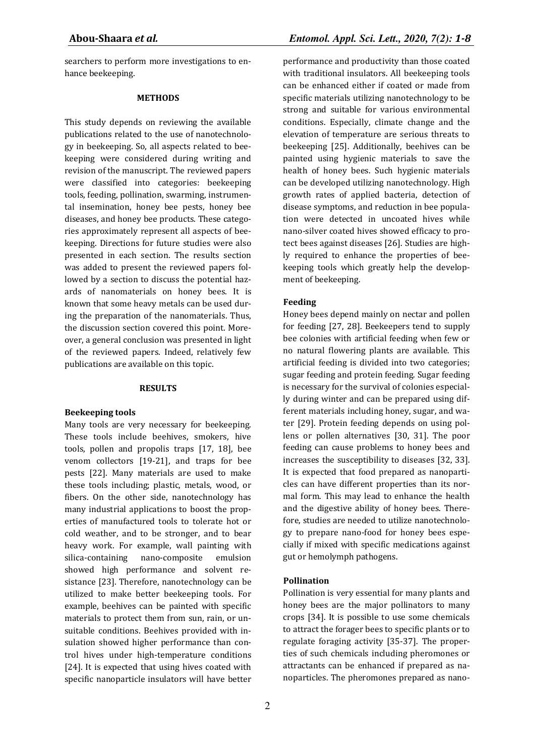searchers to perform more investigations to enhance beekeeping.

#### **METHODS**

This study depends on reviewing the available publications related to the use of nanotechnology in beekeeping. So, all aspects related to beekeeping were considered during writing and revision of the manuscript. The reviewed papers were classified into categories: beekeeping tools, feeding, pollination, swarming, instrumental insemination, honey bee pests, honey bee diseases, and honey bee products. These categories approximately represent all aspects of beekeeping. Directions for future studies were also presented in each section. The results section was added to present the reviewed papers followed by a section to discuss the potential hazards of nanomaterials on honey bees. It is known that some heavy metals can be used during the preparation of the nanomaterials. Thus, the discussion section covered this point. Moreover, a general conclusion was presented in light of the reviewed papers. Indeed, relatively few publications are available on this topic.

#### **RESULTS**

#### **Beekeeping tools**

Many tools are very necessary for beekeeping. These tools include beehives, smokers, hive tools, pollen and propolis traps [17, 18], bee venom collectors [19-21], and traps for bee pests [22]. Many materials are used to make these tools including; plastic, metals, wood, or fibers. On the other side, nanotechnology has many industrial applications to boost the properties of manufactured tools to tolerate hot or cold weather, and to be stronger, and to bear heavy work. For example, wall painting with silica-containing nano-composite emulsion showed high performance and solvent resistance [23]. Therefore, nanotechnology can be utilized to make better beekeeping tools. For example, beehives can be painted with specific materials to protect them from sun, rain, or unsuitable conditions. Beehives provided with insulation showed higher performance than control hives under high-temperature conditions [24]. It is expected that using hives coated with specific nanoparticle insulators will have better

performance and productivity than those coated with traditional insulators. All beekeeping tools can be enhanced either if coated or made from specific materials utilizing nanotechnology to be strong and suitable for various environmental conditions. Especially, climate change and the elevation of temperature are serious threats to beekeeping [25]. Additionally, beehives can be painted using hygienic materials to save the health of honey bees. Such hygienic materials can be developed utilizing nanotechnology. High growth rates of applied bacteria, detection of disease symptoms, and reduction in bee population were detected in uncoated hives while nano-silver coated hives showed efficacy to protect bees against diseases [26]. Studies are highly required to enhance the properties of beekeeping tools which greatly help the development of beekeeping.

#### **Feeding**

Honey bees depend mainly on nectar and pollen for feeding [27, 28]. Beekeepers tend to supply bee colonies with artificial feeding when few or no natural flowering plants are available. This artificial feeding is divided into two categories; sugar feeding and protein feeding. Sugar feeding is necessary for the survival of colonies especially during winter and can be prepared using different materials including honey, sugar, and water [29]. Protein feeding depends on using pollens or pollen alternatives [30, 31]. The poor feeding can cause problems to honey bees and increases the susceptibility to diseases [32, 33]. It is expected that food prepared as nanoparticles can have different properties than its normal form. This may lead to enhance the health and the digestive ability of honey bees. Therefore, studies are needed to utilize nanotechnology to prepare nano-food for honey bees especially if mixed with specific medications against gut or hemolymph pathogens.

#### **Pollination**

Pollination is very essential for many plants and honey bees are the major pollinators to many crops [34]. It is possible to use some chemicals to attract the forager bees to specific plants or to regulate foraging activity [35-37]. The properties of such chemicals including pheromones or attractants can be enhanced if prepared as nanoparticles. The pheromones prepared as nano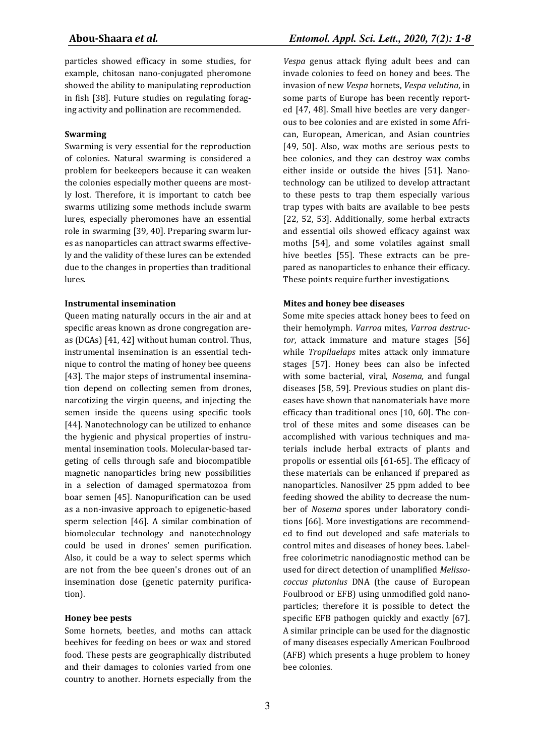particles showed efficacy in some studies, for example, chitosan nano‐conjugated pheromone showed the ability to manipulating reproduction in fish [38]. Future studies on regulating foraging activity and pollination are recommended.

## **Swarming**

Swarming is very essential for the reproduction of colonies. Natural swarming is considered a problem for beekeepers because it can weaken the colonies especially mother queens are mostly lost. Therefore, it is important to catch bee swarms utilizing some methods include swarm lures, especially pheromones have an essential role in swarming [39, 40]. Preparing swarm lures as nanoparticles can attract swarms effectively and the validity of these lures can be extended due to the changes in properties than traditional lures.

## **Instrumental insemination**

Queen mating naturally occurs in the air and at specific areas known as drone congregation areas (DCAs) [41, 42] without human control. Thus, instrumental insemination is an essential technique to control the mating of honey bee queens [43]. The major steps of instrumental insemination depend on collecting semen from drones, narcotizing the virgin queens, and injecting the semen inside the queens using specific tools [44]. Nanotechnology can be utilized to enhance the hygienic and physical properties of instrumental insemination tools. Molecular-based targeting of cells through safe and biocompatible magnetic nanoparticles bring new possibilities in a selection of damaged spermatozoa from boar semen [45]. Nanopurification can be used as a non-invasive approach to epigenetic-based sperm selection [46]. A similar combination of biomolecular technology and nanotechnology could be used in drones' semen purification. Also, it could be a way to select sperms which are not from the bee queen's drones out of an insemination dose (genetic paternity purification).

#### **Honey bee pests**

Some hornets, beetles, and moths can attack beehives for feeding on bees or wax and stored food. These pests are geographically distributed and their damages to colonies varied from one country to another. Hornets especially from the

*Vespa* genus attack flying adult bees and can invade colonies to feed on honey and bees. The invasion of new *Vespa* hornets, *Vespa velutina*, in some parts of Europe has been recently reported [47, 48]. Small hive beetles are very dangerous to bee colonies and are existed in some African, European, American, and Asian countries [49, 50]. Also, wax moths are serious pests to bee colonies, and they can destroy wax combs either inside or outside the hives [51]. Nanotechnology can be utilized to develop attractant to these pests to trap them especially various trap types with baits are available to bee pests [22, 52, 53]. Additionally, some herbal extracts and essential oils showed efficacy against wax moths [54], and some volatiles against small hive beetles [55]. These extracts can be prepared as nanoparticles to enhance their efficacy. These points require further investigations.

## **Mites and honey bee diseases**

Some mite species attack honey bees to feed on their hemolymph. *Varroa* mites, *Varroa destructor*, attack immature and mature stages [56] while *Tropilaelaps* mites attack only immature stages [57]. Honey bees can also be infected with some bacterial, viral, *Nosema,* and fungal diseases [58, 59]. Previous studies on plant diseases have shown that nanomaterials have more efficacy than traditional ones [10, 60]. The control of these mites and some diseases can be accomplished with various techniques and materials include herbal extracts of plants and propolis or essential oils [61-65]. The efficacy of these materials can be enhanced if prepared as nanoparticles. Nanosilver 25 ppm added to bee feeding showed the ability to decrease the number of *Nosema* spores under laboratory conditions [66]. More investigations are recommended to find out developed and safe materials to control mites and diseases of honey bees. Labelfree colorimetric nanodiagnostic method can be used for direct detection of unamplified *Melissococcus plutonius* DNA (the cause of European Foulbrood or EFB) using unmodified gold nanoparticles; therefore it is possible to detect the specific EFB pathogen quickly and exactly [67]. A similar principle can be used for the diagnostic of many diseases especially American Foulbrood (AFB) which presents a huge problem to honey bee colonies.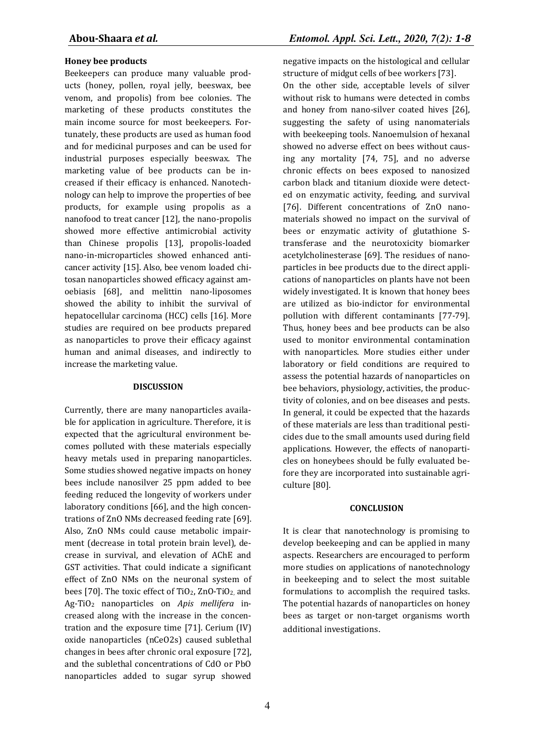## **Honey bee products**

Beekeepers can produce many valuable products (honey, pollen, royal jelly, beeswax, bee venom, and propolis) from bee colonies. The marketing of these products constitutes the main income source for most beekeepers. Fortunately, these products are used as human food and for medicinal purposes and can be used for industrial purposes especially beeswax. The marketing value of bee products can be increased if their efficacy is enhanced. Nanotechnology can help to improve the properties of bee products, for example using propolis as a nanofood to treat cancer [12], the nano-propolis showed more effective antimicrobial activity than Chinese propolis [13], propolis-loaded nano-in-microparticles showed enhanced anticancer activity [15]. Also, bee venom loaded chitosan nanoparticles showed efficacy against amoebiasis [68], and melittin nano-liposomes showed the ability to inhibit the survival of hepatocellular carcinoma (HCC) cells [16]. More studies are required on bee products prepared as nanoparticles to prove their efficacy against human and animal diseases, and indirectly to increase the marketing value.

#### **DISCUSSION**

Currently, there are many nanoparticles available for application in agriculture. Therefore, it is expected that the agricultural environment becomes polluted with these materials especially heavy metals used in preparing nanoparticles. Some studies showed negative impacts on honey bees include nanosilver 25 ppm added to bee feeding reduced the longevity of workers under laboratory conditions [66], and the high concentrations of ZnO NMs decreased feeding rate [69]. Also, ZnO NMs could cause metabolic impairment (decrease in total protein brain level), decrease in survival, and elevation of AChE and GST activities. That could indicate a significant effect of ZnO NMs on the neuronal system of bees [70]. The toxic effect of  $TiO<sub>2</sub>$ , ZnO-TiO<sub>2</sub>, and Ag-TiO2 nanoparticles on *Apis mellifera* increased along with the increase in the concentration and the exposure time [71]. Cerium (IV) oxide nanoparticles (nCeO2s) caused sublethal changes in bees after chronic oral exposure [72], and the sublethal concentrations of CdO or PbO nanoparticles added to sugar syrup showed

negative impacts on the histological and cellular structure of midgut cells of bee workers [73].

On the other side, acceptable levels of silver without risk to humans were detected in combs and honey from nano-silver coated hives [26], suggesting the safety of using nanomaterials with beekeeping tools. Nanoemulsion of hexanal showed no adverse effect on bees without causing any mortality [74, 75], and no adverse chronic effects on bees exposed to nanosized carbon black and titanium dioxide were detected on enzymatic activity, feeding, and survival [76]. Different concentrations of ZnO nanomaterials showed no impact on the survival of bees or enzymatic activity of glutathione Stransferase and the neurotoxicity biomarker acetylcholinesterase [69]. The residues of nanoparticles in bee products due to the direct applications of nanoparticles on plants have not been widely investigated. It is known that honey bees are utilized as bio-indictor for environmental pollution with different contaminants [77-79]. Thus, honey bees and bee products can be also used to monitor environmental contamination with nanoparticles. More studies either under laboratory or field conditions are required to assess the potential hazards of nanoparticles on bee behaviors, physiology, activities, the productivity of colonies, and on bee diseases and pests. In general, it could be expected that the hazards of these materials are less than traditional pesticides due to the small amounts used during field applications. However, the effects of nanoparticles on honeybees should be fully evaluated before they are incorporated into sustainable agriculture [80].

#### **CONCLUSION**

It is clear that nanotechnology is promising to develop beekeeping and can be applied in many aspects. Researchers are encouraged to perform more studies on applications of nanotechnology in beekeeping and to select the most suitable formulations to accomplish the required tasks. The potential hazards of nanoparticles on honey bees as target or non-target organisms worth additional investigations.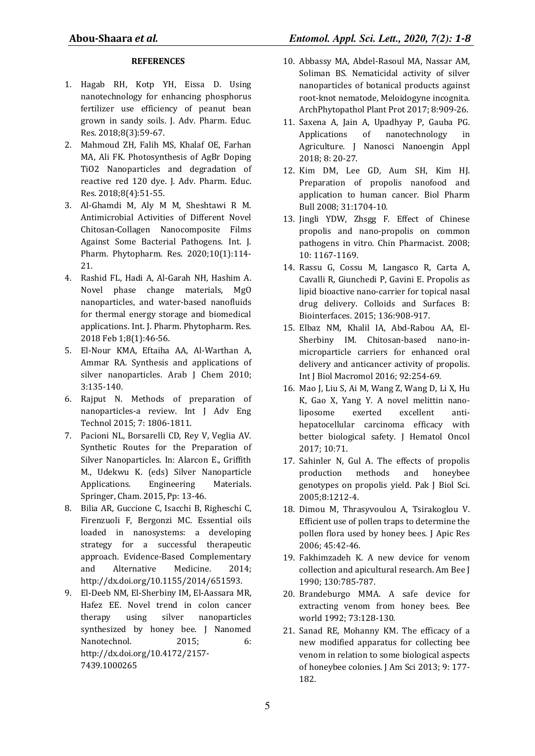# **REFERENCES**

- 1. Hagab RH, Kotp YH, Eissa D. Using nanotechnology for enhancing phosphorus fertilizer use efficiency of peanut bean grown in sandy soils. J. Adv. Pharm. Educ. Res. 2018;8(3):59-67.
- 2. Mahmoud ZH, Falih MS, Khalaf OE, Farhan MA, Ali FK. Photosynthesis of AgBr Doping TiO2 Nanoparticles and degradation of reactive red 120 dye. J. Adv. Pharm. Educ. Res. 2018;8(4):51-55.
- 3. Al-Ghamdi M, Aly M M, Sheshtawi R M. Antimicrobial Activities of Different Novel Chitosan-Collagen Nanocomposite Films Against Some Bacterial Pathogens. Int. J. Pharm. Phytopharm. Res. 2020;10(1):114- 21.
- 4. Rashid FL, Hadi A, Al-Garah NH, Hashim A. Novel phase change materials, MgO nanoparticles, and water-based nanofluids for thermal energy storage and biomedical applications. Int. J. Pharm. Phytopharm. Res. 2018 Feb 1;8(1):46-56.
- 5. El-Nour KMA, Eftaiha AA, Al-Warthan A, Ammar RA. Synthesis and applications of silver nanoparticles. Arab J Chem 2010; 3:135-140.
- 6. Rajput N. Methods of preparation of nanoparticles-a review. Int J Adv Eng Technol 2015; 7: 1806-1811.
- 7. Pacioni NL, Borsarelli CD, Rey V, Veglia AV. Synthetic Routes for the Preparation of Silver Nanoparticles. In: Alarcon E., Griffith M., Udekwu K. (eds) Silver Nanoparticle Applications. Engineering Materials. Springer, Cham. 2015, Pp: 13-46.
- 8. Bilia AR, Guccione C, Isacchi B, Righeschi C, Firenzuoli F, Bergonzi MC. Essential oils loaded in nanosystems: a developing strategy for a successful therapeutic approach. Evidence-Based Complementary and Alternative Medicine. 2014; http://dx.doi.org/10.1155/2014/651593.
- 9. El-Deeb NM, El-Sherbiny IM, El-Aassara MR, Hafez EE. Novel trend in colon cancer therapy using silver nanoparticles synthesized by honey bee. J Nanomed Nanotechnol. 2015; 6: http://dx.doi.org/10.4172/2157- 7439.1000265
- 10. Abbassy MA, Abdel-Rasoul MA, Nassar AM, Soliman BS. Nematicidal activity of silver nanoparticles of botanical products against root-knot nematode, Meloidogyne incognita. ArchPhytopathol Plant Prot 2017; 8:909-26.
- 11. Saxena A, Jain A, Upadhyay P, Gauba PG. Applications of nanotechnology in Agriculture. J Nanosci Nanoengin Appl 2018; 8: 20-27.
- 12. Kim DM, Lee GD, Aum SH, Kim HJ. Preparation of propolis nanofood and application to human cancer. Biol Pharm Bull 2008; 31:1704-10.
- 13. Jingli YDW, Zhsgg F. Effect of Chinese propolis and nano-propolis on common pathogens in vitro. Chin Pharmacist. 2008; 10: 1167-1169.
- 14. Rassu G, Cossu M, Langasco R, Carta A, Cavalli R, Giunchedi P, Gavini E. Propolis as lipid bioactive nano-carrier for topical nasal drug delivery. Colloids and Surfaces B: Biointerfaces. 2015; 136:908-917.
- 15. Elbaz NM, Khalil IA, Abd-Rabou AA, El-Sherbiny IM. Chitosan-based nano-inmicroparticle carriers for enhanced oral delivery and anticancer activity of propolis. Int J Biol Macromol 2016; 92:254-69.
- 16. Mao J, Liu S, Ai M, Wang Z, Wang D, Li X, Hu K, Gao X, Yang Y. A novel melittin nanoliposome exerted excellent antihepatocellular carcinoma efficacy with better biological safety. J Hematol Oncol 2017; 10:71.
- 17. Sahinler N, Gul A. The effects of propolis production methods and honeybee genotypes on propolis yield. Pak J Biol Sci. 2005;8:1212-4.
- 18. Dimou M, Thrasyvoulou A, Tsirakoglou V. Efficient use of pollen traps to determine the pollen flora used by honey bees. J Apic Res 2006; 45:42-46.
- 19. Fakhimzadeh K. A new device for venom collection and apicultural research. Am Bee J 1990; 130:785-787.
- 20. Brandeburgo MMA. A safe device for extracting venom from honey bees. Bee world 1992; 73:128-130.
- 21. Sanad RE, Mohanny KM. The efficacy of a new modified apparatus for collecting bee venom in relation to some biological aspects of honeybee colonies. J Am Sci 2013; 9: 177- 182.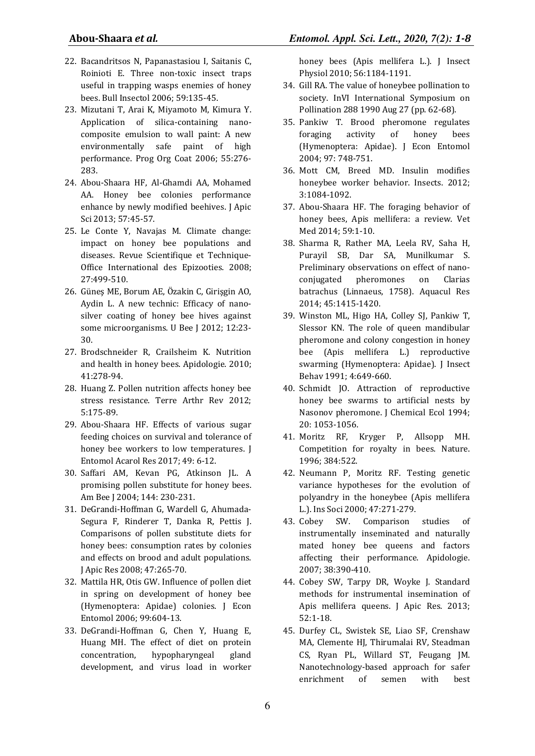- 22. Bacandritsos N, Papanastasiou I, Saitanis C, Roinioti E. Three non-toxic insect traps useful in trapping wasps enemies of honey bees. Bull Insectol 2006; 59:135-45.
- 23. Mizutani T, Arai K, Miyamoto M, Kimura Y. Application of silica-containing nanocomposite emulsion to wall paint: A new environmentally safe paint of high performance. Prog Org Coat 2006; 55:276- 283.
- 24. Abou-Shaara HF, Al-Ghamdi AA, Mohamed AA. Honey bee colonies performance enhance by newly modified beehives. J Apic Sci 2013; 57:45-57.
- 25. Le Conte Y, Navajas M. Climate change: impact on honey bee populations and diseases. Revue Scientifique et Technique-Office International des Epizooties. 2008; 27:499-510.
- 26. Güneş ME, Borum AE, Özakin C, Girişgin AO, Aydin L. A new technic: Efficacy of nanosilver coating of honey bee hives against some microorganisms. U Bee J 2012; 12:23-30.
- 27. Brodschneider R, Crailsheim K. Nutrition and health in honey bees. Apidologie. 2010; 41:278-94.
- 28. Huang Z. Pollen nutrition affects honey bee stress resistance. Terre Arthr Rev 2012; 5:175-89.
- 29. Abou-Shaara HF. Effects of various sugar feeding choices on survival and tolerance of honey bee workers to low temperatures. J Entomol Acarol Res 2017; 49: 6-12.
- 30. Saffari AM, Kevan PG, Atkinson JL. A promising pollen substitute for honey bees. Am Bee J 2004; 144: 230-231.
- 31. DeGrandi-Hoffman G, Wardell G, Ahumada-Segura F, Rinderer T, Danka R, Pettis J. Comparisons of pollen substitute diets for honey bees: consumption rates by colonies and effects on brood and adult populations. J Apic Res 2008; 47:265-70.
- 32. Mattila HR, Otis GW. Influence of pollen diet in spring on development of honey bee (Hymenoptera: Apidae) colonies. J Econ Entomol 2006; 99:604-13.
- 33. DeGrandi-Hoffman G, Chen Y, Huang E, Huang MH. The effect of diet on protein concentration, hypopharyngeal gland development, and virus load in worker

honey bees (Apis mellifera L.). J Insect Physiol 2010; 56:1184-1191.

- 34. Gill RA. The value of honeybee pollination to society. InVI International Symposium on Pollination 288 1990 Aug 27 (pp. 62-68).
- 35. Pankiw T. Brood pheromone regulates foraging activity of honey bees (Hymenoptera: Apidae). J Econ Entomol 2004; 97: 748-751.
- 36. Mott CM, Breed MD. Insulin modifies honeybee worker behavior. Insects. 2012; 3:1084-1092.
- 37. Abou-Shaara HF. The foraging behavior of honey bees, Apis mellifera: a review. Vet Med 2014; 59:1-10.
- 38. Sharma R, Rather MA, Leela RV, Saha H, Purayil SB, Dar SA, Munilkumar S. Preliminary observations on effect of nanoconjugated pheromones on Clarias batrachus (Linnaeus, 1758). Aquacul Res 2014; 45:1415-1420.
- 39. Winston ML, Higo HA, Colley SJ, Pankiw T, Slessor KN. The role of queen mandibular pheromone and colony congestion in honey bee (Apis mellifera L.) reproductive swarming (Hymenoptera: Apidae). J Insect Behav 1991; 4:649-660.
- 40. Schmidt JO. Attraction of reproductive honey bee swarms to artificial nests by Nasonov pheromone. J Chemical Ecol 1994; 20: 1053-1056.
- 41. Moritz RF, Kryger P, Allsopp MH. Competition for royalty in bees. Nature. 1996; 384:522.
- 42. Neumann P, Moritz RF. Testing genetic variance hypotheses for the evolution of polyandry in the honeybee (Apis mellifera L.). Ins Soci 2000; 47:271-279.
- 43. Cobey SW. Comparison studies of instrumentally inseminated and naturally mated honey bee queens and factors affecting their performance. Apidologie. 2007; 38:390-410.
- 44. Cobey SW, Tarpy DR, Woyke J. Standard methods for instrumental insemination of Apis mellifera queens. J Apic Res. 2013; 52:1-18.
- 45. Durfey CL, Swistek SE, Liao SF, Crenshaw MA, Clemente HJ, Thirumalai RV, Steadman CS, Ryan PL, Willard ST, Feugang JM. Nanotechnology-based approach for safer enrichment of semen with best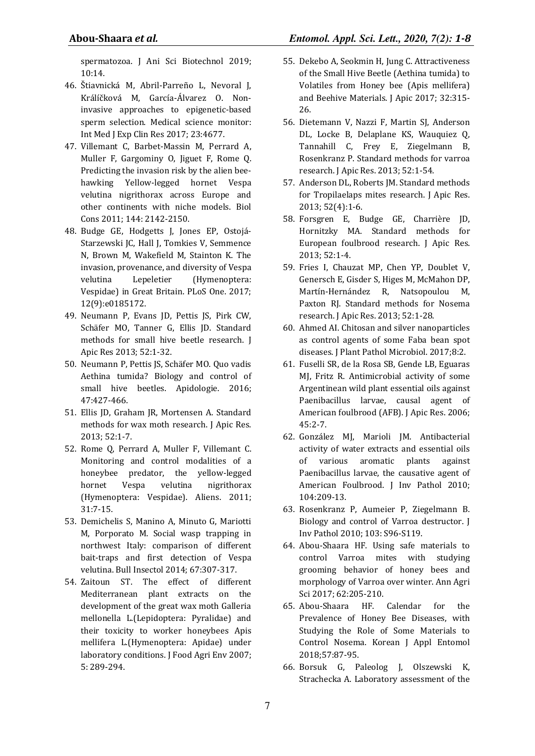spermatozoa. J Ani Sci Biotechnol 2019; 10:14.

- 46. Štiavnická M, Abril-Parreño L, Nevoral J, Králíčková M, García-Álvarez O. Noninvasive approaches to epigenetic-based sperm selection. Medical science monitor: Int Med J Exp Clin Res 2017; 23:4677.
- 47. Villemant C, Barbet-Massin M, Perrard A, Muller F, Gargominy O, Jiguet F, Rome Q. Predicting the invasion risk by the alien beehawking Yellow-legged hornet Vespa velutina nigrithorax across Europe and other continents with niche models. Biol Cons 2011; 144: 2142-2150.
- 48. Budge GE, Hodgetts J, Jones EP, Ostojá-Starzewski JC, Hall J, Tomkies V, Semmence N, Brown M, Wakefield M, Stainton K. The invasion, provenance, and diversity of Vespa velutina Lepeletier (Hymenoptera: Vespidae) in Great Britain. PLoS One. 2017; 12(9):e0185172.
- 49. Neumann P, Evans JD, Pettis JS, Pirk CW, Schäfer MO, Tanner G, Ellis JD. Standard methods for small hive beetle research. J Apic Res 2013; 52:1-32.
- 50. Neumann P, Pettis JS, Schäfer MO. Quo vadis Aethina tumida? Biology and control of small hive beetles. Apidologie. 2016; 47:427-466.
- 51. Ellis JD, Graham JR, Mortensen A. Standard methods for wax moth research. J Apic Res. 2013; 52:1-7.
- 52. Rome Q, Perrard A, Muller F, Villemant C. Monitoring and control modalities of a honeybee predator, the yellow-legged hornet Vespa velutina nigrithorax (Hymenoptera: Vespidae). Aliens. 2011; 31:7-15.
- 53. Demichelis S, Manino A, Minuto G, Mariotti M, Porporato M. Social wasp trapping in northwest Italy: comparison of different bait-traps and first detection of Vespa velutina. Bull Insectol 2014; 67:307-317.
- 54. Zaitoun ST. The effect of different Mediterranean plant extracts on the development of the great wax moth Galleria mellonella L.(Lepidoptera: Pyralidae) and their toxicity to worker honeybees Apis mellifera L.(Hymenoptera: Apidae) under laboratory conditions. J Food Agri Env 2007; 5: 289-294.
- 55. Dekebo A, Seokmin H, Jung C. Attractiveness of the Small Hive Beetle (Aethina tumida) to Volatiles from Honey bee (Apis mellifera) and Beehive Materials. J Apic 2017; 32:315- 26.
- 56. Dietemann V, Nazzi F, Martin SJ, Anderson DL, Locke B, Delaplane KS, Wauquiez Q, Tannahill C, Frey E, Ziegelmann B, Rosenkranz P. Standard methods for varroa research. J Apic Res. 2013; 52:1-54.
- 57. Anderson DL, Roberts JM. Standard methods for Tropilaelaps mites research. J Apic Res. 2013; 52(4):1-6.
- 58. Forsgren E, Budge GE, Charrière JD, Hornitzky MA. Standard methods for European foulbrood research. J Apic Res. 2013; 52:1-4.
- 59. Fries I, Chauzat MP, Chen YP, Doublet V, Genersch E, Gisder S, Higes M, McMahon DP, Martín-Hernández R, Natsopoulou M, Paxton RJ. Standard methods for Nosema research. J Apic Res. 2013; 52:1-28.
- 60. Ahmed AI. Chitosan and silver nanoparticles as control agents of some Faba bean spot diseases. J Plant Pathol Microbiol. 2017;8:2.
- 61. Fuselli SR, de la Rosa SB, Gende LB, Eguaras MJ, Fritz R. Antimicrobial activity of some Argentinean wild plant essential oils against Paenibacillus larvae, causal agent of American foulbrood (AFB). J Apic Res. 2006; 45:2-7.
- 62. González MJ, Marioli JM. Antibacterial activity of water extracts and essential oils of various aromatic plants against Paenibacillus larvae, the causative agent of American Foulbrood. J Inv Pathol 2010; 104:209-13.
- 63. Rosenkranz P, Aumeier P, Ziegelmann B. Biology and control of Varroa destructor. J Inv Pathol 2010; 103: S96-S119.
- 64. Abou-Shaara HF. Using safe materials to control Varroa mites with studying grooming behavior of honey bees and morphology of Varroa over winter. Ann Agri Sci 2017; 62:205-210.
- 65. Abou-Shaara HF. Calendar for the Prevalence of Honey Bee Diseases, with Studying the Role of Some Materials to Control Nosema. Korean J Appl Entomol 2018;57:87-95.
- 66. Borsuk G, Paleolog J, Olszewski K, Strachecka A. Laboratory assessment of the